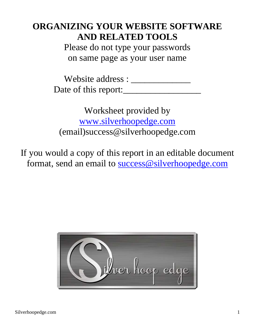## **ORGANIZING YOUR WEBSITE SOFTWARE AND RELATED TOOLS**

Please do not type your passwords on same page as your user name

Website address : \_\_\_\_\_\_\_\_\_\_\_\_\_ Date of this report:\_\_\_\_\_\_\_\_\_\_\_\_\_\_\_\_\_

Worksheet provided by www.silverhoopedge.com (email)success@silverhoopedge.com

If you would a copy of this report in an editable document format, send an email to success@silverhoopedge.com

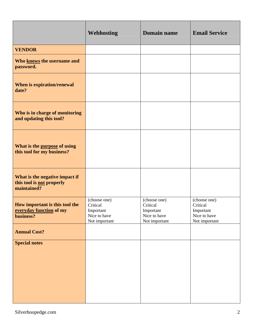|                                                                            | <b>Webhosting</b>                                                      | <b>Domain name</b>                                                     | <b>Email Service</b>                                                   |
|----------------------------------------------------------------------------|------------------------------------------------------------------------|------------------------------------------------------------------------|------------------------------------------------------------------------|
| <b>VENDOR</b>                                                              |                                                                        |                                                                        |                                                                        |
| Who knows the username and<br>password.                                    |                                                                        |                                                                        |                                                                        |
| When is expiration/renewal<br>date?                                        |                                                                        |                                                                        |                                                                        |
| Who is in charge of monitoring<br>and updating this tool?                  |                                                                        |                                                                        |                                                                        |
| What is the purpose of using<br>this tool for my business?                 |                                                                        |                                                                        |                                                                        |
| What is the negative impact if<br>this tool is not properly<br>maintained? |                                                                        |                                                                        |                                                                        |
| How important is this tool the<br>everyday function of my<br>business?     | (choose one)<br>Critical<br>Important<br>Nice to have<br>Not important | (choose one)<br>Critical<br>Important<br>Nice to have<br>Not important | (choose one)<br>Critical<br>Important<br>Nice to have<br>Not important |
| <b>Annual Cost?</b>                                                        |                                                                        |                                                                        |                                                                        |
| <b>Special notes</b>                                                       |                                                                        |                                                                        |                                                                        |